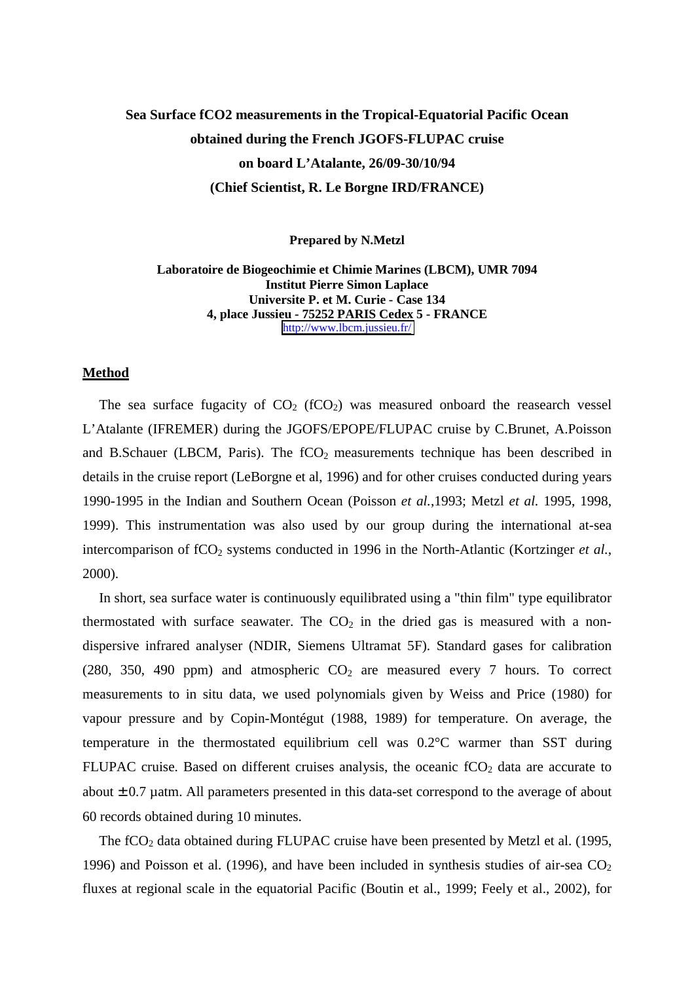## **Sea Surface fCO2 measurements in the Tropical-Equatorial Pacific Ocean obtained during the French JGOFS-FLUPAC cruise on board L'Atalante, 26/09-30/10/94 (Chief Scientist, R. Le Borgne IRD/FRANCE)**

**Prepared by N.Metzl**

**Laboratoire de Biogeochimie et Chimie Marines (LBCM), UMR 7094 Institut Pierre Simon Laplace Universite P. et M. Curie - Case 134 4, place Jussieu - 75252 PARIS Cedex 5 - FRANCE** <http://www.lbcm.jussieu.fr/>

## **Method**

The sea surface fugacity of  $CO<sub>2</sub>$  (fCO<sub>2</sub>) was measured onboard the reasearch vessel L'Atalante (IFREMER) during the JGOFS/EPOPE/FLUPAC cruise by C.Brunet, A.Poisson and B.Schauer (LBCM, Paris). The  $fCO<sub>2</sub>$  measurements technique has been described in details in the cruise report (LeBorgne et al, 1996) and for other cruises conducted during years 1990-1995 in the Indian and Southern Ocean (Poisson *et al.*,1993; Metzl *et al.* 1995, 1998, 1999). This instrumentation was also used by our group during the international at-sea intercomparison of fCO<sub>2</sub> systems conducted in 1996 in the North-Atlantic (Kortzinger *et al.*, 2000).

In short, sea surface water is continuously equilibrated using a "thin film" type equilibrator thermostated with surface seawater. The  $CO<sub>2</sub>$  in the dried gas is measured with a nondispersive infrared analyser (NDIR, Siemens Ultramat 5F). Standard gases for calibration (280, 350, 490 ppm) and atmospheric  $CO<sub>2</sub>$  are measured every 7 hours. To correct measurements to in situ data, we used polynomials given by Weiss and Price (1980) for vapour pressure and by Copin-Montégut (1988, 1989) for temperature. On average, the temperature in the thermostated equilibrium cell was 0.2°C warmer than SST during FLUPAC cruise. Based on different cruises analysis, the oceanic  $fCO<sub>2</sub>$  data are accurate to about  $\pm$  0.7 µatm. All parameters presented in this data-set correspond to the average of about 60 records obtained during 10 minutes.

The fCO<sub>2</sub> data obtained during FLUPAC cruise have been presented by Metzl et al. (1995, 1996) and Poisson et al. (1996), and have been included in synthesis studies of air-sea  $CO<sub>2</sub>$ fluxes at regional scale in the equatorial Pacific (Boutin et al., 1999; Feely et al., 2002), for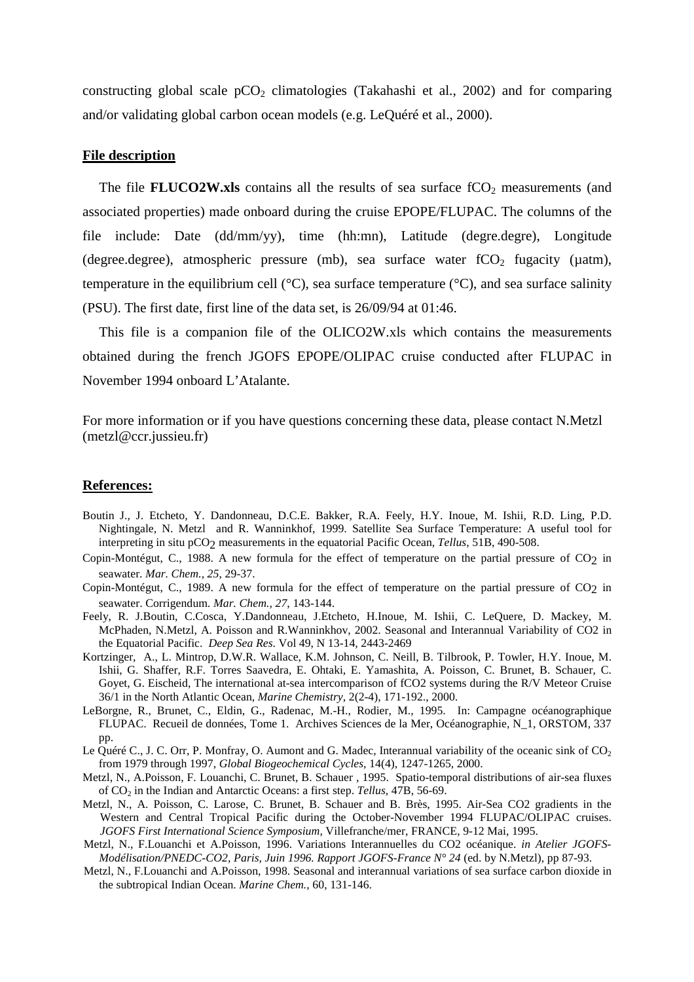constructing global scale  $pCO<sub>2</sub>$  climatologies (Takahashi et al., 2002) and for comparing and/or validating global carbon ocean models (e.g. LeQuéré et al., 2000).

## **File description**

The file **FLUCO2W.xls** contains all the results of sea surface  $fCO<sub>2</sub>$  measurements (and associated properties) made onboard during the cruise EPOPE/FLUPAC. The columns of the file include: Date (dd/mm/yy), time (hh:mn), Latitude (degre.degre), Longitude (degree.degree), atmospheric pressure (mb), sea surface water  $fCO<sub>2</sub>$  fugacity ( $\mu$ atm), temperature in the equilibrium cell ( $^{\circ}$ C), sea surface temperature ( $^{\circ}$ C), and sea surface salinity (PSU). The first date, first line of the data set, is 26/09/94 at 01:46.

This file is a companion file of the OLICO2W.xls which contains the measurements obtained during the french JGOFS EPOPE/OLIPAC cruise conducted after FLUPAC in November 1994 onboard L'Atalante.

For more information or if you have questions concerning these data, please contact N.Metzl (metzl@ccr.jussieu.fr)

## **References:**

- Boutin J., J. Etcheto, Y. Dandonneau, D.C.E. Bakker, R.A. Feely, H.Y. Inoue, M. Ishii, R.D. Ling, P.D. Nightingale, N. Metzl and R. Wanninkhof, 1999. Satellite Sea Surface Temperature: A useful tool for interpreting in situ pCO2 measurements in the equatorial Pacific Ocean, *Tellus*, 51B, 490-508.
- Copin-Montégut, C., 1988. A new formula for the effect of temperature on the partial pressure of CO<sub>2</sub> in seawater. *Mar. Chem., 25*, 29-37.
- Copin-Montégut, C., 1989. A new formula for the effect of temperature on the partial pressure of CO2 in seawater. Corrigendum. *Mar. Chem., 27*, 143-144.
- Feely, R. J.Boutin, C.Cosca, Y.Dandonneau, J.Etcheto, H.Inoue, M. Ishii, C. LeQuere, D. Mackey, M. McPhaden, N.Metzl, A. Poisson and R.Wanninkhov, 2002. Seasonal and Interannual Variability of CO2 in the Equatorial Pacific. *Deep Sea Res*. Vol 49, N 13-14, 2443-2469
- Kortzinger, A., L. Mintrop, D.W.R. Wallace, K.M. Johnson, C. Neill, B. Tilbrook, P. Towler, H.Y. Inoue, M. Ishii, G. Shaffer, R.F. Torres Saavedra, E. Ohtaki, E. Yamashita, A. Poisson, C. Brunet, B. Schauer, C. Goyet, G. Eischeid, The international at-sea intercomparison of fCO2 systems during the R/V Meteor Cruise 36/1 in the North Atlantic Ocean, *Marine Chemistry*, 2(2-4), 171-192., 2000.
- LeBorgne, R., Brunet, C., Eldin, G., Radenac, M.-H., Rodier, M., 1995. In: Campagne océanographique FLUPAC. Recueil de données, Tome 1. Archives Sciences de la Mer, Océanographie, N\_1, ORSTOM, 337 pp.
- Le Quéré C., J. C. Orr, P. Monfray, O. Aumont and G. Madec, Interannual variability of the oceanic sink of  $CO<sub>2</sub>$ from 1979 through 1997, *Global Biogeochemical Cycles*, 14(4), 1247-1265, 2000.
- Metzl, N., A.Poisson, F. Louanchi, C. Brunet, B. Schauer , 1995. Spatio-temporal distributions of air-sea fluxes of CO2 in the Indian and Antarctic Oceans: a first step. *Tellus*, 47B, 56-69.
- Metzl, N., A. Poisson, C. Larose, C. Brunet, B. Schauer and B. Brès, 1995. Air-Sea CO2 gradients in the Western and Central Tropical Pacific during the October-November 1994 FLUPAC/OLIPAC cruises. *JGOFS First International Science Symposium*, Villefranche/mer, FRANCE, 9-12 Mai, 1995.
- Metzl, N., F.Louanchi et A.Poisson, 1996. Variations Interannuelles du CO2 océanique. *in Atelier JGOFS-Modélisation/PNEDC-CO2, Paris, Juin 1996. Rapport JGOFS-France N° 24* (ed. by N.Metzl), pp 87-93.
- Metzl, N., F.Louanchi and A.Poisson, 1998. Seasonal and interannual variations of sea surface carbon dioxide in the subtropical Indian Ocean. *Marine Chem.*, 60, 131-146.